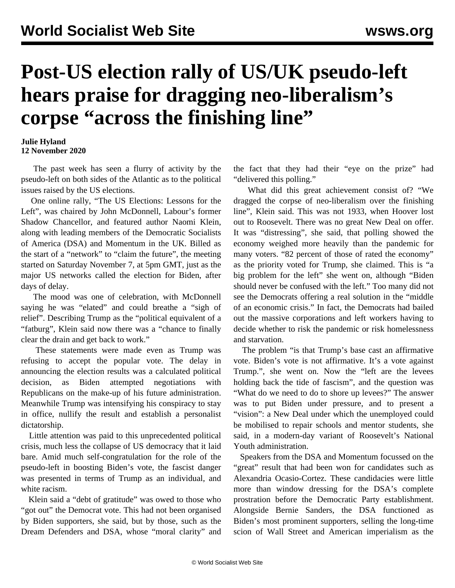## **Post-US election rally of US/UK pseudo-left hears praise for dragging neo-liberalism's corpse "across the finishing line"**

## **Julie Hyland 12 November 2020**

 The past week has seen a flurry of activity by the pseudo-left on both sides of the Atlantic as to the political issues raised by the US elections.

 One online rally, "The US Elections: Lessons for the Left", was chaired by John McDonnell, Labour's former Shadow Chancellor, and featured author Naomi Klein, along with leading members of the Democratic Socialists of America (DSA) and Momentum in the UK. Billed as the start of a "network" to "claim the future", the meeting started on Saturday November 7, at 5pm GMT, just as the major US networks called the election for Biden, after days of delay.

 The mood was one of celebration, with McDonnell saying he was "elated" and could breathe a "sigh of relief". Describing Trump as the "political equivalent of a "fatburg", Klein said now there was a "chance to finally clear the drain and get back to work."

 These statements were made even as Trump was refusing to accept the popular vote. The delay in announcing the election results was a calculated political decision, as Biden attempted negotiations with Republicans on the make-up of his future administration. Meanwhile Trump was intensifying his conspiracy to stay in office, nullify the result and establish a personalist dictatorship.

 Little attention was paid to this unprecedented political crisis, much less the collapse of US democracy that it laid bare. Amid much self-congratulation for the role of the pseudo-left in boosting Biden's vote, the fascist danger was presented in terms of Trump as an individual, and white racism.

 Klein said a "debt of gratitude" was owed to those who "got out" the Democrat vote. This had not been organised by Biden supporters, she said, but by those, such as the Dream Defenders and DSA, whose "moral clarity" and the fact that they had their "eye on the prize" had "delivered this polling."

 What did this great achievement consist of? "We dragged the corpse of neo-liberalism over the finishing line", Klein said. This was not 1933, when Hoover lost out to Roosevelt. There was no great New Deal on offer. It was "distressing", she said, that polling showed the economy weighed more heavily than the pandemic for many voters. "82 percent of those of rated the economy" as the priority voted for Trump, she claimed. This is "a big problem for the left" she went on, although "Biden should never be confused with the left." Too many did not see the Democrats offering a real solution in the "middle of an economic crisis." In fact, the Democrats had bailed out the massive corporations and left workers having to decide whether to risk the pandemic or risk homelessness and starvation.

 The problem "is that Trump's base cast an affirmative vote. Biden's vote is not affirmative. It's a vote against Trump.", she went on. Now the "left are the levees holding back the tide of fascism", and the question was "What do we need to do to shore up levees?" The answer was to put Biden under pressure, and to present a "vision": a New Deal under which the unemployed could be mobilised to repair schools and mentor students, she said, in a modern-day variant of Roosevelt's National Youth administration.

 Speakers from the DSA and Momentum focussed on the "great" result that had been won for candidates such as Alexandria Ocasio-Cortez. These candidacies were little more than window dressing for the DSA's complete prostration before the Democratic Party establishment. Alongside Bernie Sanders, the DSA functioned as Biden's most prominent supporters, selling the long-time scion of Wall Street and American imperialism as the